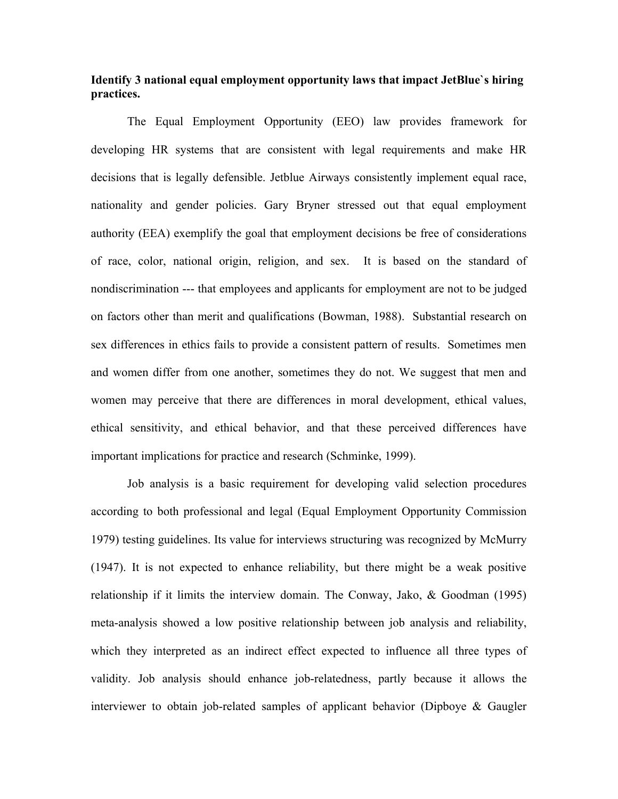# **Identify 3 national equal employment opportunity laws that impact JetBlue`s hiring practices.**

The Equal Employment Opportunity (EEO) law provides framework for developing HR systems that are consistent with legal requirements and make HR decisions that is legally defensible. Jetblue Airways consistently implement equal race, nationality and gender policies. Gary Bryner stressed out that equal employment authority (EEA) exemplify the goal that employment decisions be free of considerations of race, color, national origin, religion, and sex. It is based on the standard of nondiscrimination --- that employees and applicants for employment are not to be judged on factors other than merit and qualifications (Bowman, 1988). Substantial research on sex differences in ethics fails to provide a consistent pattern of results. Sometimes men and women differ from one another, sometimes they do not. We suggest that men and women may perceive that there are differences in moral development, ethical values, ethical sensitivity, and ethical behavior, and that these perceived differences have important implications for practice and research (Schminke, 1999).

Job analysis is a basic requirement for developing valid selection procedures according to both professional and legal (Equal Employment Opportunity Commission 1979) testing guidelines. Its value for interviews structuring was recognized by McMurry (1947). It is not expected to enhance reliability, but there might be a weak positive relationship if it limits the interview domain. The Conway, Jako, & Goodman (1995) meta-analysis showed a low positive relationship between job analysis and reliability, which they interpreted as an indirect effect expected to influence all three types of validity. Job analysis should enhance job-relatedness, partly because it allows the interviewer to obtain job-related samples of applicant behavior (Dipboye & Gaugler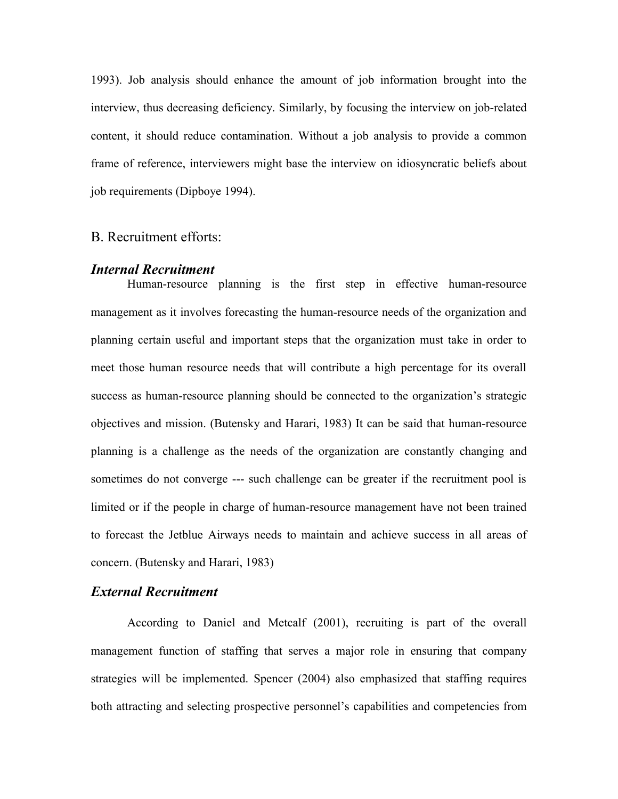1993). Job analysis should enhance the amount of job information brought into the interview, thus decreasing deficiency. Similarly, by focusing the interview on job-related content, it should reduce contamination. Without a job analysis to provide a common frame of reference, interviewers might base the interview on idiosyncratic beliefs about job requirements (Dipboye 1994).

# B. Recruitment efforts:

#### *Internal Recruitment*

Human-resource planning is the first step in effective human-resource management as it involves forecasting the human-resource needs of the organization and planning certain useful and important steps that the organization must take in order to meet those human resource needs that will contribute a high percentage for its overall success as human-resource planning should be connected to the organization's strategic objectives and mission. (Butensky and Harari, 1983) It can be said that human-resource planning is a challenge as the needs of the organization are constantly changing and sometimes do not converge --- such challenge can be greater if the recruitment pool is limited or if the people in charge of human-resource management have not been trained to forecast the Jetblue Airways needs to maintain and achieve success in all areas of concern. (Butensky and Harari, 1983)

#### *External Recruitment*

According to Daniel and Metcalf (2001), recruiting is part of the overall management function of staffing that serves a major role in ensuring that company strategies will be implemented. Spencer (2004) also emphasized that staffing requires both attracting and selecting prospective personnel's capabilities and competencies from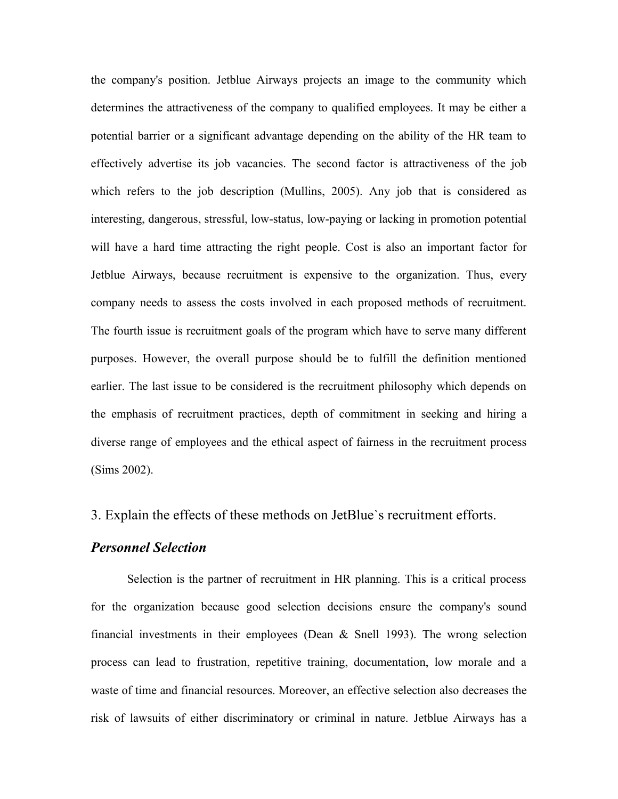the company's position. Jetblue Airways projects an image to the community which determines the attractiveness of the company to qualified employees. It may be either a potential barrier or a significant advantage depending on the ability of the HR team to effectively advertise its job vacancies. The second factor is attractiveness of the job which refers to the job description (Mullins, 2005). Any job that is considered as interesting, dangerous, stressful, low-status, low-paying or lacking in promotion potential will have a hard time attracting the right people. Cost is also an important factor for Jetblue Airways, because recruitment is expensive to the organization. Thus, every company needs to assess the costs involved in each proposed methods of recruitment. The fourth issue is recruitment goals of the program which have to serve many different purposes. However, the overall purpose should be to fulfill the definition mentioned earlier. The last issue to be considered is the recruitment philosophy which depends on the emphasis of recruitment practices, depth of commitment in seeking and hiring a diverse range of employees and the ethical aspect of fairness in the recruitment process (Sims 2002).

### 3. Explain the effects of these methods on JetBlue`s recruitment efforts.

## *Personnel Selection*

Selection is the partner of recruitment in HR planning. This is a critical process for the organization because good selection decisions ensure the company's sound financial investments in their employees (Dean  $&$  Snell 1993). The wrong selection process can lead to frustration, repetitive training, documentation, low morale and a waste of time and financial resources. Moreover, an effective selection also decreases the risk of lawsuits of either discriminatory or criminal in nature. Jetblue Airways has a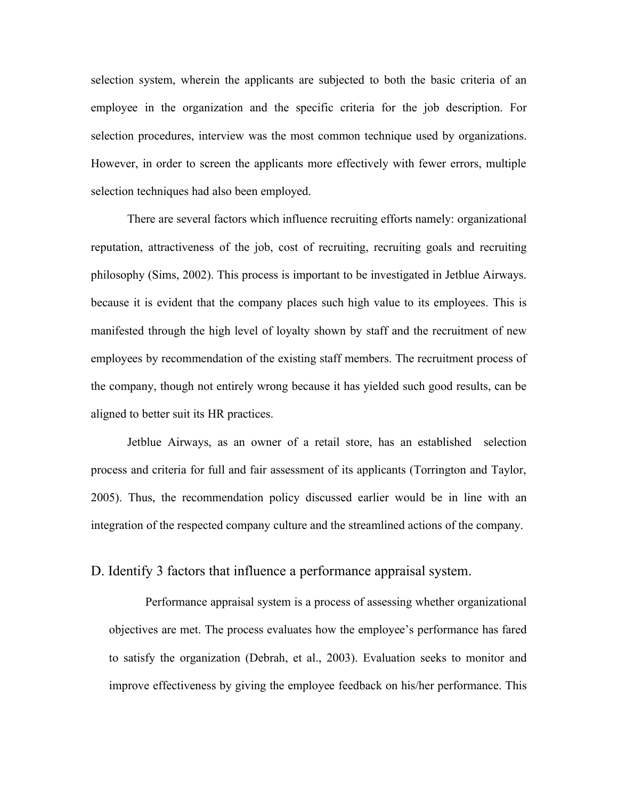selection system, wherein the applicants are subjected to both the basic criteria of an employee in the organization and the specific criteria for the job description. For selection procedures, interview was the most common technique used by organizations. However, in order to screen the applicants more effectively with fewer errors, multiple selection techniques had also been employed.

There are several factors which influence recruiting efforts namely: organizational reputation, attractiveness of the job, cost of recruiting, recruiting goals and recruiting philosophy (Sims, 2002). This process is important to be investigated in Jetblue Airways. because it is evident that the company places such high value to its employees. This is manifested through the high level of loyalty shown by staff and the recruitment of new employees by recommendation of the existing staff members. The recruitment process of the company, though not entirely wrong because it has yielded such good results, can be aligned to better suit its HR practices.

Jetblue Airways, as an owner of a retail store, has an established selection process and criteria for full and fair assessment of its applicants (Torrington and Taylor, 2005). Thus, the recommendation policy discussed earlier would be in line with an integration of the respected company culture and the streamlined actions of the company.

D. Identify 3 factors that influence a performance appraisal system.

Performance appraisal system is a process of assessing whether organizational objectives are met. The process evaluates how the employee's performance has fared to satisfy the organization (Debrah, et al., 2003). Evaluation seeks to monitor and improve effectiveness by giving the employee feedback on his/her performance. This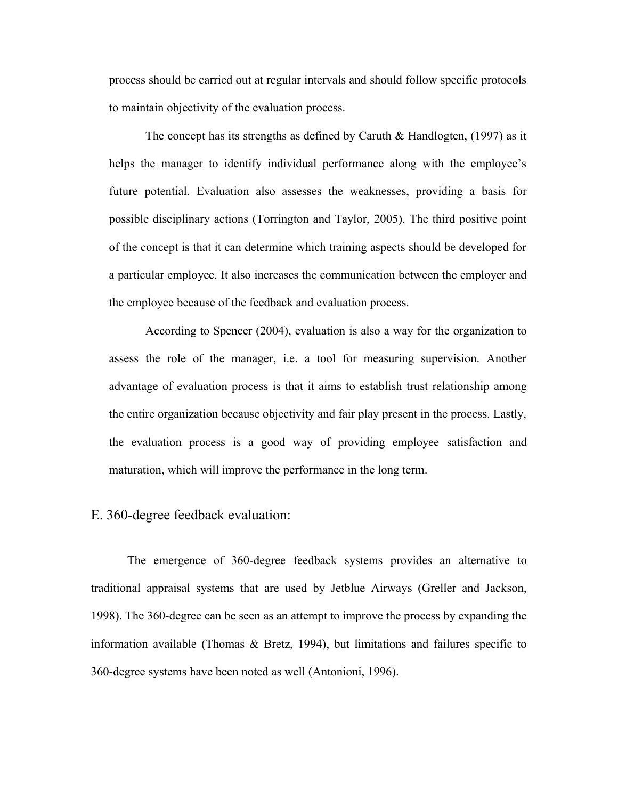process should be carried out at regular intervals and should follow specific protocols to maintain objectivity of the evaluation process.

The concept has its strengths as defined by Caruth & Handlogten,  $(1997)$  as it helps the manager to identify individual performance along with the employee's future potential. Evaluation also assesses the weaknesses, providing a basis for possible disciplinary actions (Torrington and Taylor, 2005). The third positive point of the concept is that it can determine which training aspects should be developed for a particular employee. It also increases the communication between the employer and the employee because of the feedback and evaluation process.

According to Spencer (2004), evaluation is also a way for the organization to assess the role of the manager, i.e. a tool for measuring supervision. Another advantage of evaluation process is that it aims to establish trust relationship among the entire organization because objectivity and fair play present in the process. Lastly, the evaluation process is a good way of providing employee satisfaction and maturation, which will improve the performance in the long term.

### E. 360-degree feedback evaluation:

The emergence of 360-degree feedback systems provides an alternative to traditional appraisal systems that are used by Jetblue Airways (Greller and Jackson, 1998). The 360-degree can be seen as an attempt to improve the process by expanding the information available (Thomas & Bretz, 1994), but limitations and failures specific to 360-degree systems have been noted as well (Antonioni, 1996).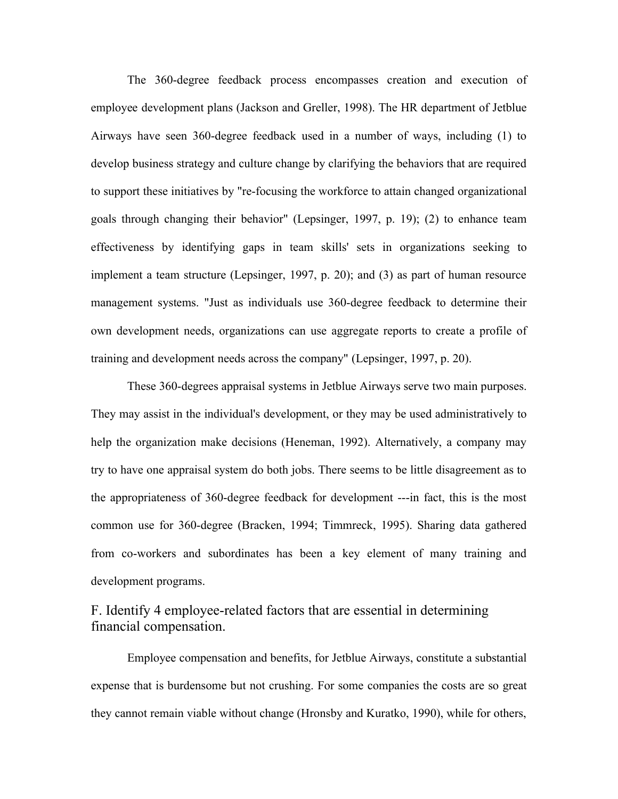The 360-degree feedback process encompasses creation and execution of employee development plans (Jackson and Greller, 1998). The HR department of Jetblue Airways have seen 360-degree feedback used in a number of ways, including (1) to develop business strategy and culture change by clarifying the behaviors that are required to support these initiatives by "re-focusing the workforce to attain changed organizational goals through changing their behavior" (Lepsinger, 1997, p. 19); (2) to enhance team effectiveness by identifying gaps in team skills' sets in organizations seeking to implement a team structure (Lepsinger, 1997, p. 20); and (3) as part of human resource management systems. "Just as individuals use 360-degree feedback to determine their own development needs, organizations can use aggregate reports to create a profile of training and development needs across the company" (Lepsinger, 1997, p. 20).

These 360-degrees appraisal systems in Jetblue Airways serve two main purposes. They may assist in the individual's development, or they may be used administratively to help the organization make decisions (Heneman, 1992). Alternatively, a company may try to have one appraisal system do both jobs. There seems to be little disagreement as to the appropriateness of 360-degree feedback for development ---in fact, this is the most common use for 360-degree (Bracken, 1994; Timmreck, 1995). Sharing data gathered from co-workers and subordinates has been a key element of many training and development programs.

# F. Identify 4 employee-related factors that are essential in determining financial compensation.

Employee compensation and benefits, for Jetblue Airways, constitute a substantial expense that is burdensome but not crushing. For some companies the costs are so great they cannot remain viable without change (Hronsby and Kuratko, 1990), while for others,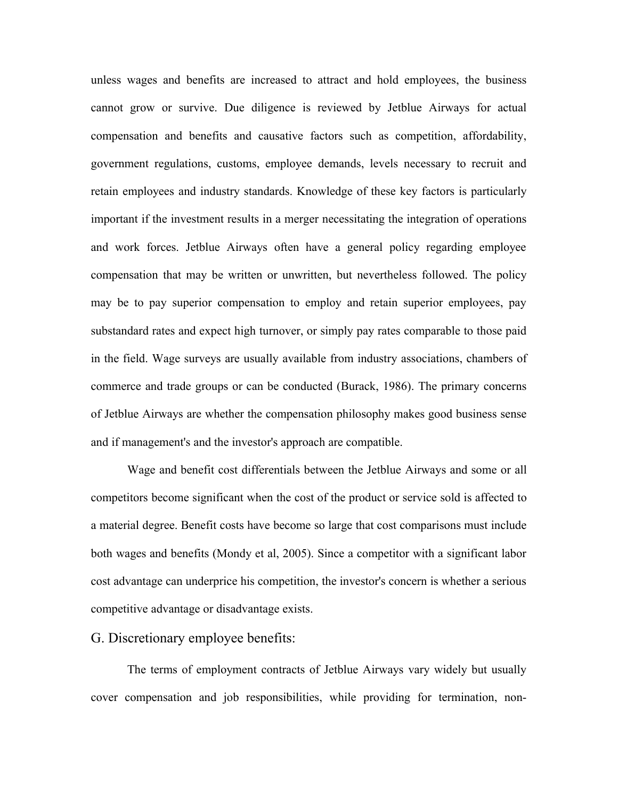unless wages and benefits are increased to attract and hold employees, the business cannot grow or survive. Due diligence is reviewed by Jetblue Airways for actual compensation and benefits and causative factors such as competition, affordability, government regulations, customs, employee demands, levels necessary to recruit and retain employees and industry standards. Knowledge of these key factors is particularly important if the investment results in a merger necessitating the integration of operations and work forces. Jetblue Airways often have a general policy regarding employee compensation that may be written or unwritten, but nevertheless followed. The policy may be to pay superior compensation to employ and retain superior employees, pay substandard rates and expect high turnover, or simply pay rates comparable to those paid in the field. Wage surveys are usually available from industry associations, chambers of commerce and trade groups or can be conducted (Burack, 1986). The primary concerns of Jetblue Airways are whether the compensation philosophy makes good business sense and if management's and the investor's approach are compatible.

Wage and benefit cost differentials between the Jetblue Airways and some or all competitors become significant when the cost of the product or service sold is affected to a material degree. Benefit costs have become so large that cost comparisons must include both wages and benefits (Mondy et al, 2005). Since a competitor with a significant labor cost advantage can underprice his competition, the investor's concern is whether a serious competitive advantage or disadvantage exists.

### G. Discretionary employee benefits:

The terms of employment contracts of Jetblue Airways vary widely but usually cover compensation and job responsibilities, while providing for termination, non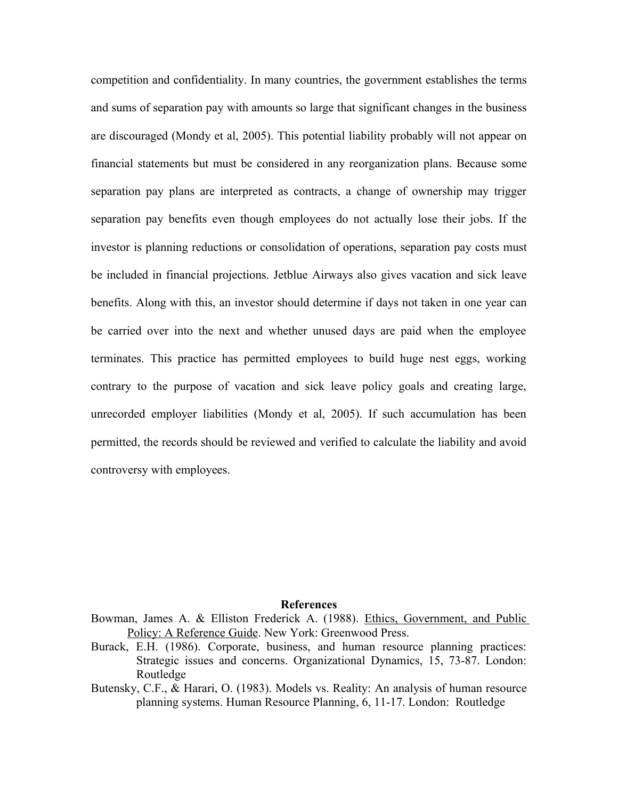competition and confidentiality. In many countries, the government establishes the terms and sums of separation pay with amounts so large that significant changes in the business are discouraged (Mondy et al, 2005). This potential liability probably will not appear on financial statements but must be considered in any reorganization plans. Because some separation pay plans are interpreted as contracts, a change of ownership may trigger separation pay benefits even though employees do not actually lose their jobs. If the investor is planning reductions or consolidation of operations, separation pay costs must be included in financial projections. Jetblue Airways also gives vacation and sick leave benefits. Along with this, an investor should determine if days not taken in one year can be carried over into the next and whether unused days are paid when the employee terminates. This practice has permitted employees to build huge nest eggs, working contrary to the purpose of vacation and sick leave policy goals and creating large, unrecorded employer liabilities (Mondy et al, 2005). If such accumulation has been permitted, the records should be reviewed and verified to calculate the liability and avoid controversy with employees.

#### **References**

- Bowman, James A. & Elliston Frederick A. (1988). Ethics, Government, and Public Policy: A Reference Guide. New York: Greenwood Press.
- Burack, E.H. (1986). Corporate, business, and human resource planning practices: Strategic issues and concerns. Organizational Dynamics, 15, 73-87. London: Routledge
- Butensky, C.F., & Harari, O. (1983). Models vs. Reality: An analysis of human resource planning systems. Human Resource Planning, 6, 11-17. London: Routledge